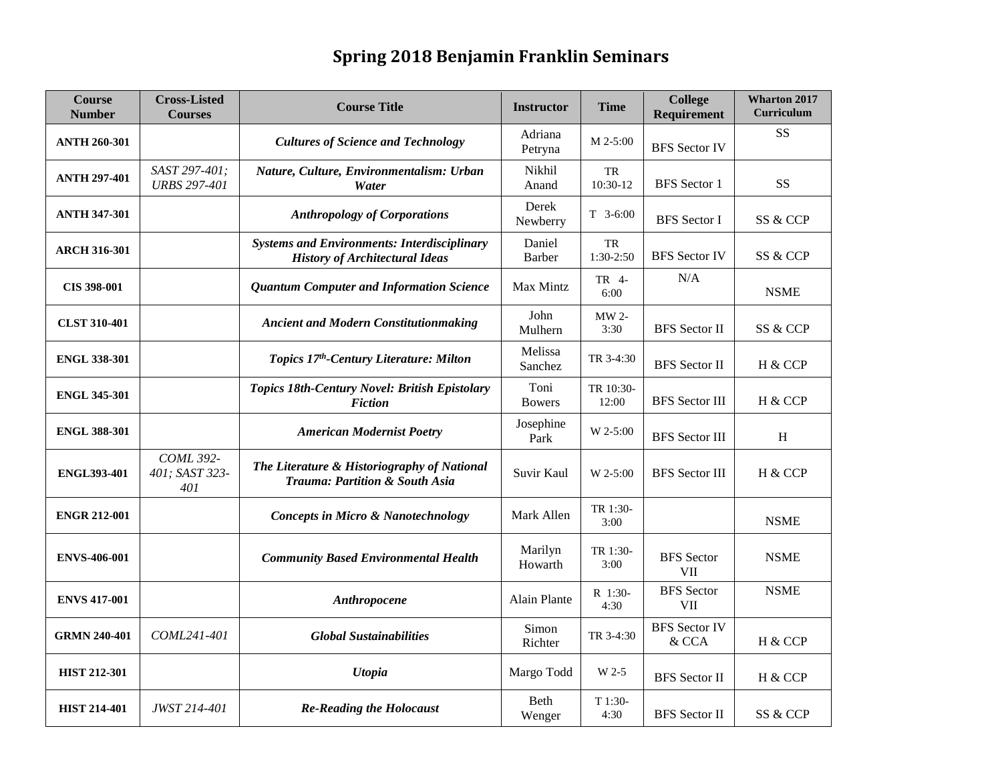## **Spring 2018 Benjamin Franklin Seminars**

| <b>Course</b><br><b>Number</b> | <b>Cross-Listed</b><br><b>Courses</b>     | <b>Course Title</b>                                                                         | <b>Instructor</b>     | <b>Time</b>        | <b>College</b><br>Requirement   | <b>Wharton 2017</b><br><b>Curriculum</b> |
|--------------------------------|-------------------------------------------|---------------------------------------------------------------------------------------------|-----------------------|--------------------|---------------------------------|------------------------------------------|
| <b>ANTH 260-301</b>            |                                           | <b>Cultures of Science and Technology</b>                                                   | Adriana<br>Petryna    | $M$ 2-5:00         | <b>BFS</b> Sector IV            | <b>SS</b>                                |
| <b>ANTH 297-401</b>            | SAST 297-401;<br><b>URBS 297-401</b>      | Nature, Culture, Environmentalism: Urban<br>Water                                           | Nikhil<br>Anand       | TR<br>10:30-12     | <b>BFS</b> Sector 1             | <b>SS</b>                                |
| <b>ANTH 347-301</b>            |                                           | <b>Anthropology of Corporations</b>                                                         | Derek<br>Newberry     | $T$ 3-6:00         | <b>BFS</b> Sector I             | SS & CCP                                 |
| <b>ARCH 316-301</b>            |                                           | <b>Systems and Environments: Interdisciplinary</b><br><b>History of Architectural Ideas</b> | Daniel<br>Barber      | TR<br>1:30-2:50    | <b>BFS</b> Sector IV            | SS & CCP                                 |
| CIS 398-001                    |                                           | <b>Quantum Computer and Information Science</b>                                             | Max Mintz             | TR 4-<br>6:00      | N/A                             | <b>NSME</b>                              |
| <b>CLST 310-401</b>            |                                           | <b>Ancient and Modern Constitutionmaking</b>                                                | John<br>Mulhern       | MW 2-<br>3:30      | <b>BFS</b> Sector II            | SS & CCP                                 |
| <b>ENGL 338-301</b>            |                                           | Topics 17 <sup>th</sup> -Century Literature: Milton                                         | Melissa<br>Sanchez    | TR 3-4:30          | <b>BFS</b> Sector II            | H & CCP                                  |
| <b>ENGL 345-301</b>            |                                           | Topics 18th-Century Novel: British Epistolary<br><b>Fiction</b>                             | Toni<br><b>Bowers</b> | TR 10:30-<br>12:00 | <b>BFS</b> Sector III           | H & CCP                                  |
| <b>ENGL 388-301</b>            |                                           | <b>American Modernist Poetry</b>                                                            | Josephine<br>Park     | W 2-5:00           | <b>BFS</b> Sector III           | H                                        |
| <b>ENGL393-401</b>             | <b>COML 392-</b><br>401; SAST 323-<br>401 | The Literature & Historiography of National<br><b>Trauma: Partition &amp; South Asia</b>    | Suvir Kaul            | W 2-5:00           | <b>BFS</b> Sector III           | H & CCP                                  |
| <b>ENGR 212-001</b>            |                                           | <b>Concepts in Micro &amp; Nanotechnology</b>                                               | Mark Allen            | TR 1:30-<br>3:00   |                                 | <b>NSME</b>                              |
| <b>ENVS-406-001</b>            |                                           | <b>Community Based Environmental Health</b>                                                 | Marilyn<br>Howarth    | TR 1:30-<br>3:00   | <b>BFS</b> Sector<br><b>VII</b> | <b>NSME</b>                              |
| <b>ENVS 417-001</b>            |                                           | Anthropocene                                                                                | <b>Alain Plante</b>   | R 1:30-<br>4:30    | <b>BFS</b> Sector<br><b>VII</b> | <b>NSME</b>                              |
| <b>GRMN 240-401</b>            | COML241-401                               | <b>Global Sustainabilities</b>                                                              | Simon<br>Richter      | TR 3-4:30          | <b>BFS</b> Sector IV<br>& CCA   | H & CCP                                  |
| <b>HIST 212-301</b>            |                                           | <b>Utopia</b>                                                                               | Margo Todd            | W 2-5              | <b>BFS</b> Sector II            | H & CCP                                  |
| <b>HIST 214-401</b>            | <b>JWST 214-401</b>                       | <b>Re-Reading the Holocaust</b>                                                             | Beth<br>Wenger        | T 1:30-<br>4:30    | <b>BFS</b> Sector II            | SS & CCP                                 |